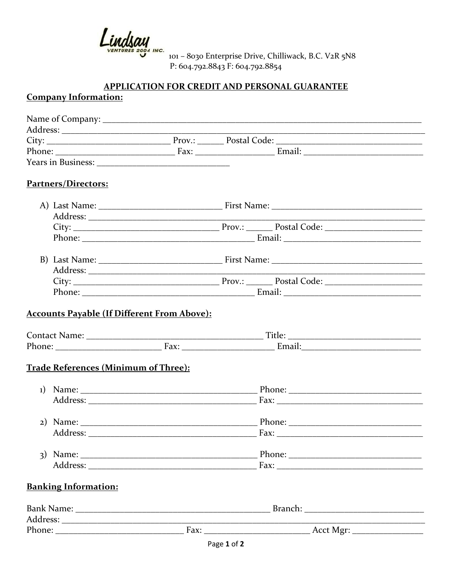Lindsay

101 - 8030 Enterprise Drive, Chilliwack, B.C. V2R 5N8 P: 604.792.8843 F: 604.792.8854

## **APPLICATION FOR CREDIT AND PERSONAL GUARANTEE**

## **Company Information:**

|                                             | <u> 1980 - Johann John Stone, mars and de final and de final and de final and definition of the set of the set of the set of the set of the set of the set of the set of the set of the set of the set of the set of the set of </u> |  |
|---------------------------------------------|--------------------------------------------------------------------------------------------------------------------------------------------------------------------------------------------------------------------------------------|--|
|                                             |                                                                                                                                                                                                                                      |  |
|                                             |                                                                                                                                                                                                                                      |  |
|                                             |                                                                                                                                                                                                                                      |  |
| Partners/Directors:                         |                                                                                                                                                                                                                                      |  |
|                                             |                                                                                                                                                                                                                                      |  |
|                                             |                                                                                                                                                                                                                                      |  |
|                                             |                                                                                                                                                                                                                                      |  |
|                                             | Phone: 2008 2014 2015 2016 2017 2018 2019 2014 2015 2016 2017 2018 2019 2019 2019 2019 2019 2019 2017 2018 201                                                                                                                       |  |
|                                             |                                                                                                                                                                                                                                      |  |
|                                             |                                                                                                                                                                                                                                      |  |
|                                             |                                                                                                                                                                                                                                      |  |
|                                             |                                                                                                                                                                                                                                      |  |
| <b>Trade References (Minimum of Three):</b> |                                                                                                                                                                                                                                      |  |
|                                             |                                                                                                                                                                                                                                      |  |
|                                             |                                                                                                                                                                                                                                      |  |
|                                             |                                                                                                                                                                                                                                      |  |
|                                             |                                                                                                                                                                                                                                      |  |
|                                             |                                                                                                                                                                                                                                      |  |
|                                             |                                                                                                                                                                                                                                      |  |
| <b>Banking Information:</b>                 |                                                                                                                                                                                                                                      |  |
|                                             |                                                                                                                                                                                                                                      |  |
|                                             |                                                                                                                                                                                                                                      |  |
|                                             |                                                                                                                                                                                                                                      |  |